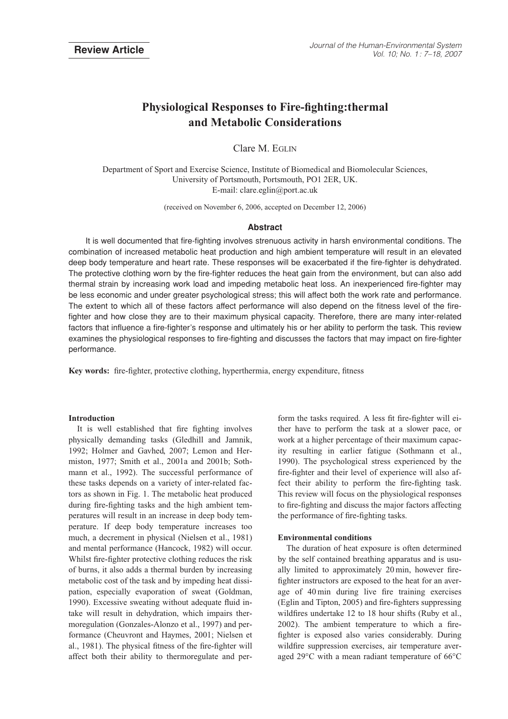# **Physiological Responses to Fire-fighting:thermal and Metabolic Considerations**

Clare M. EGLIN

Department of Sport and Exercise Science, Institute of Biomedical and Biomolecular Sciences, University of Portsmouth, Portsmouth, PO1 2ER, UK. E-mail: clare.eglin@port.ac.uk

(received on November 6, 2006, accepted on December 12, 2006)

# **Abstract**

It is well documented that fire-fighting involves strenuous activity in harsh environmental conditions. The combination of increased metabolic heat production and high ambient temperature will result in an elevated deep body temperature and heart rate. These responses will be exacerbated if the fire-fighter is dehydrated. The protective clothing worn by the fire-fighter reduces the heat gain from the environment, but can also add thermal strain by increasing work load and impeding metabolic heat loss. An inexperienced fire-fighter may be less economic and under greater psychological stress; this will affect both the work rate and performance. The extent to which all of these factors affect performance will also depend on the fitness level of the firefighter and how close they are to their maximum physical capacity. Therefore, there are many inter-related factors that influence a fire-fighter's response and ultimately his or her ability to perform the task. This review examines the physiological responses to fire-fighting and discusses the factors that may impact on fire-fighter performance.

**Key words:** fire-fighter, protective clothing, hyperthermia, energy expenditure, fitness

## **Introduction**

It is well established that fire fighting involves physically demanding tasks (Gledhill and Jamnik, 1992; Holmer and Gavhed, 2007; Lemon and Hermiston, 1977; Smith et al., 2001a and 2001b; Sothmann et al., 1992). The successful performance of these tasks depends on a variety of inter-related factors as shown in Fig. 1. The metabolic heat produced during fire-fighting tasks and the high ambient temperatures will result in an increase in deep body temperature. If deep body temperature increases too much, a decrement in physical (Nielsen et al., 1981) and mental performance (Hancock, 1982) will occur. Whilst fire-fighter protective clothing reduces the risk of burns, it also adds a thermal burden by increasing metabolic cost of the task and by impeding heat dissipation, especially evaporation of sweat (Goldman, 1990). Excessive sweating without adequate fluid intake will result in dehydration, which impairs thermoregulation (Gonzales-Alonzo et al., 1997) and performance (Cheuvront and Haymes, 2001; Nielsen et al., 1981). The physical fitness of the fire-fighter will affect both their ability to thermoregulate and perform the tasks required. A less fit fire-fighter will either have to perform the task at a slower pace, or work at a higher percentage of their maximum capacity resulting in earlier fatigue (Sothmann et al., 1990). The psychological stress experienced by the fire-fighter and their level of experience will also affect their ability to perform the fire-fighting task. This review will focus on the physiological responses to fire-fighting and discuss the major factors affecting the performance of fire-fighting tasks.

## **Environmental conditions**

The duration of heat exposure is often determined by the self contained breathing apparatus and is usually limited to approximately 20 min, however firefighter instructors are exposed to the heat for an average of 40 min during live fire training exercises (Eglin and Tipton, 2005) and fire-fighters suppressing wildfires undertake 12 to 18 hour shifts (Ruby et al., 2002). The ambient temperature to which a firefighter is exposed also varies considerably. During wildfire suppression exercises, air temperature averaged 29°C with a mean radiant temperature of 66°C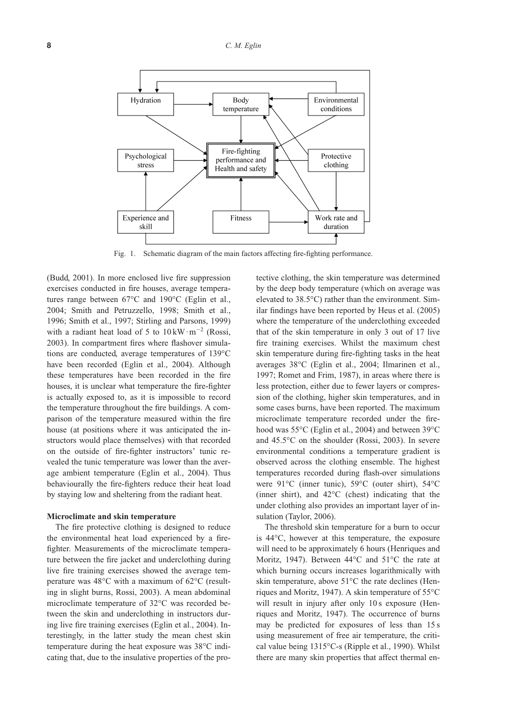

Fig. 1. Schematic diagram of the main factors affecting fire-fighting performance.

(Budd, 2001). In more enclosed live fire suppression exercises conducted in fire houses, average temperatures range between 67°C and 190°C (Eglin et al., 2004; Smith and Petruzzello, 1998; Smith et al., 1996; Smith et al., 1997; Stirling and Parsons, 1999) with a radiant heat load of 5 to  $10 \,\mathrm{kW \cdot m}^{-2}$  (Rossi, 2003). In compartment fires where flashover simulations are conducted, average temperatures of 139°C have been recorded (Eglin et al., 2004). Although these temperatures have been recorded in the fire houses, it is unclear what temperature the fire-fighter is actually exposed to, as it is impossible to record the temperature throughout the fire buildings. A comparison of the temperature measured within the fire house (at positions where it was anticipated the instructors would place themselves) with that recorded on the outside of fire-fighter instructors' tunic revealed the tunic temperature was lower than the average ambient temperature (Eglin et al., 2004). Thus behaviourally the fire-fighters reduce their heat load by staying low and sheltering from the radiant heat.

#### **Microclimate and skin temperature**

The fire protective clothing is designed to reduce the environmental heat load experienced by a firefighter. Measurements of the microclimate temperature between the fire jacket and underclothing during live fire training exercises showed the average temperature was 48°C with a maximum of 62°C (resulting in slight burns, Rossi, 2003). A mean abdominal microclimate temperature of 32°C was recorded between the skin and underclothing in instructors during live fire training exercises (Eglin et al., 2004). Interestingly, in the latter study the mean chest skin temperature during the heat exposure was 38°C indicating that, due to the insulative properties of the protective clothing, the skin temperature was determined by the deep body temperature (which on average was elevated to 38.5°C) rather than the environment. Similar findings have been reported by Heus et al. (2005) where the temperature of the underclothing exceeded that of the skin temperature in only 3 out of 17 live fire training exercises. Whilst the maximum chest skin temperature during fire-fighting tasks in the heat averages 38°C (Eglin et al., 2004; Ilmarinen et al., 1997; Romet and Frim, 1987), in areas where there is less protection, either due to fewer layers or compression of the clothing, higher skin temperatures, and in some cases burns, have been reported. The maximum microclimate temperature recorded under the firehood was 55°C (Eglin et al., 2004) and between 39°C and 45.5°C on the shoulder (Rossi, 2003). In severe environmental conditions a temperature gradient is observed across the clothing ensemble. The highest temperatures recorded during flash-over simulations were 91°C (inner tunic), 59°C (outer shirt), 54°C (inner shirt), and 42°C (chest) indicating that the under clothing also provides an important layer of insulation (Taylor, 2006).

The threshold skin temperature for a burn to occur is 44°C, however at this temperature, the exposure will need to be approximately 6 hours (Henriques and Moritz, 1947). Between 44°C and 51°C the rate at which burning occurs increases logarithmically with skin temperature, above 51°C the rate declines (Henriques and Moritz, 1947). A skin temperature of 55°C will result in injury after only 10 s exposure (Henriques and Moritz, 1947). The occurrence of burns may be predicted for exposures of less than 15 s using measurement of free air temperature, the critical value being 1315°C-s (Ripple et al., 1990). Whilst there are many skin properties that affect thermal en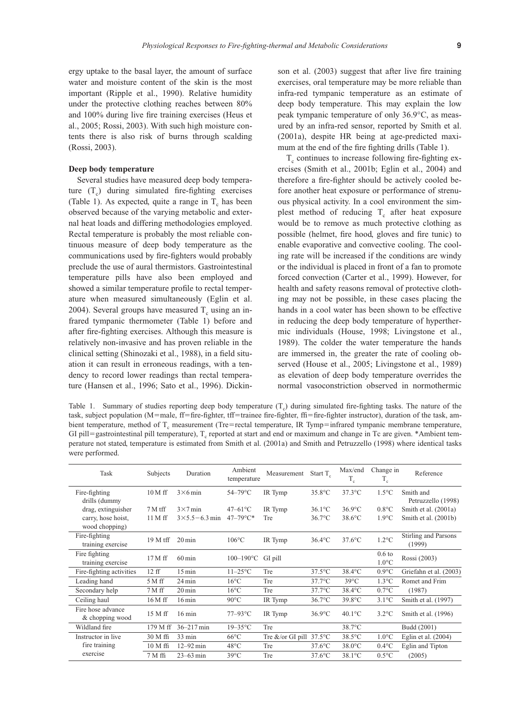ergy uptake to the basal layer, the amount of surface water and moisture content of the skin is the most important (Ripple et al., 1990). Relative humidity under the protective clothing reaches between 80% and 100% during live fire training exercises (Heus et al., 2005; Rossi, 2003). With such high moisture contents there is also risk of burns through scalding (Rossi, 2003).

#### **Deep body temperature**

Several studies have measured deep body temperature  $(T_c)$  during simulated fire-fighting exercises (Table 1). As expected, quite a range in  $T_c$  has been observed because of the varying metabolic and external heat loads and differing methodologies employed. Rectal temperature is probably the most reliable continuous measure of deep body temperature as the communications used by fire-fighters would probably preclude the use of aural thermistors. Gastrointestinal temperature pills have also been employed and showed a similar temperature profile to rectal temperature when measured simultaneously (Eglin et al. 2004). Several groups have measured  $T_c$  using an infrared tympanic thermometer (Table 1) before and after fire-fighting exercises. Although this measure is relatively non-invasive and has proven reliable in the clinical setting (Shinozaki et al., 1988), in a field situation it can result in erroneous readings, with a tendency to record lower readings than rectal temperature (Hansen et al., 1996; Sato et al., 1996). Dickinson et al. (2003) suggest that after live fire training exercises, oral temperature may be more reliable than infra-red tympanic temperature as an estimate of deep body temperature. This may explain the low peak tympanic temperature of only 36.9°C, as measured by an infra-red sensor, reported by Smith et al. (2001a), despite HR being at age-predicted maximum at the end of the fire fighting drills (Table 1).

 $T_c$  continues to increase following fire-fighting exercises (Smith et al., 2001b; Eglin et al., 2004) and therefore a fire-fighter should be actively cooled before another heat exposure or performance of strenuous physical activity. In a cool environment the simplest method of reducing  $T_c$  after heat exposure would be to remove as much protective clothing as possible (helmet, fire hood, gloves and fire tunic) to enable evaporative and convective cooling. The cooling rate will be increased if the conditions are windy or the individual is placed in front of a fan to promote forced convection (Carter et al., 1999). However, for health and safety reasons removal of protective clothing may not be possible, in these cases placing the hands in a cool water has been shown to be effective in reducing the deep body temperature of hyperthermic individuals (House, 1998; Livingstone et al., 1989). The colder the water temperature the hands are immersed in, the greater the rate of cooling observed (House et al., 2005; Livingstone et al., 1989) as elevation of deep body temperature overrides the normal vasoconstriction observed in normothermic

Table 1. Summary of studies reporting deep body temperature  $(T_c)$  during simulated fire-fighting tasks. The nature of the task, subject population (M=male, ff=fire-fighter, tff=trainee fire-fighter, ffi=fire-fighter instructor), duration of the task, ambient temperature, method of  $T_c$  measurement (Tre=rectal temperature, IR Tymp=infrared tympanic membrane temperature, GI pill=gastrointestinal pill temperature),  $T_c$  reported at start and end or maximum and change in Tc are given. \*Ambient temperature not stated, temperature is estimated from Smith et al. (2001a) and Smith and Petruzzello (1998) where identical tasks were performed.

|  | Task                                     | Subjects             | Duration                               | Ambient<br>temperature                     | Measurement                       | Start $T_a$            | Max/end<br>$T_c$       | Change in<br>$T_c$                   | Reference                                    |
|--|------------------------------------------|----------------------|----------------------------------------|--------------------------------------------|-----------------------------------|------------------------|------------------------|--------------------------------------|----------------------------------------------|
|  | Fire-fighting<br>drills (dummy           | $10M$ ff             | $3\times 6$ min                        | 54-79°C                                    | IR Tymp                           | 35.8°C                 | $37.3$ °C              | $1.5^{\circ}$ C                      | Smith and<br>Petruzzello (1998)              |
|  | drag, extinguisher<br>carry, hose hoist, | $7M$ tff<br>$11M$ ff | $3\times7$ min<br>$3\times5.5-6.3$ min | $47 - 61^{\circ}C$<br>$47 - 79^{\circ}C^*$ | IR Tymp<br>Tre                    | $36.1$ °C<br>$36.7$ °C | $36.9$ °C<br>$38.6$ °C | $0.8^{\circ}$ C<br>$1.9^{\circ}$ C   | Smith et al. (2001a)<br>Smith et al. (2001b) |
|  | wood chopping)                           |                      |                                        |                                            |                                   |                        |                        |                                      |                                              |
|  | Fire-fighting<br>training exercise       | 19 M tff             | $20 \,\mathrm{min}$                    | $106^{\circ}$ C                            | IR Tymp                           | $36.4$ °C              | $37.6$ °C              | $1.2^{\circ}$ C                      | Stirling and Parsons<br>(1999)               |
|  | Fire fighting<br>training exercise       | $17M$ ff             | $60 \,\mathrm{min}$                    | $100 - 190$ °C                             | GI pill                           |                        |                        | 0.6 <sub>to</sub><br>$1.0^{\circ}$ C | Rossi (2003)                                 |
|  | Fire-fighting activities                 | 12ff                 | $15 \,\mathrm{min}$                    | $11-25$ °C                                 | Tre                               | $37.5$ °C              | 38.4°C                 | $0.9$ °C                             | Griefahn et al. (2003)                       |
|  | Leading hand                             | $5M$ ff              | 24 min                                 | $16^{\circ}$ C                             | Tre                               | $37.7^{\circ}$ C       | $39^{\circ}$ C         | $1.3^{\circ}$ C                      | Romet and Frim                               |
|  | Secondary help                           | $7M$ ff              | $20 \,\mathrm{min}$                    | $16^{\circ}$ C                             | Tre                               | $37.7^{\circ}$ C       | 38.4°C                 | $0.7$ °C                             | (1987)                                       |
|  | Ceiling haul                             | $16M$ ff             | $16 \,\mathrm{min}$                    | $90^{\circ}$ C                             | IR Tymp                           | 36.7°C                 | 39.8°C                 | $3.1^{\circ}$ C                      | Smith et al. (1997)                          |
|  | Fire hose advance<br>& chopping wood     | 15 M ff              | $16 \text{ min}$                       | $77-93$ °C                                 | IR Tymp                           | $36.9$ °C              | $40.1^{\circ}$ C       | $3.2^{\circ}$ C                      | Smith et al. (1996)                          |
|  | Wildland fire                            | 179 M ff             | $36 - 217$ min                         | $19-35$ °C                                 | Tre                               |                        | 38.7°C                 |                                      | Budd (2001)                                  |
|  | Instructor in live                       | 30 M ffi             | 33 min                                 | $66^{\circ}$ C                             | Tre &/or GI pill $37.5^{\circ}$ C |                        | 38.5°C                 | $1.0^{\circ}$ C                      | Eglin et al. $(2004)$                        |
|  | fire training                            | 10 M ffi             | $12 - 92$ min                          | $48^{\circ}$ C                             | Tre                               | $37.6$ °C              | $38.0$ °C              | $0.4$ °C                             | Eglin and Tipton                             |
|  | exercise                                 | $7M$ ffi             | $23 - 63$ min                          | $39^{\circ}$ C                             | Tre                               | $37.6$ °C              | $38.1^{\circ}$ C       | $0.5^{\circ}$ C                      | (2005)                                       |
|  |                                          |                      |                                        |                                            |                                   |                        |                        |                                      |                                              |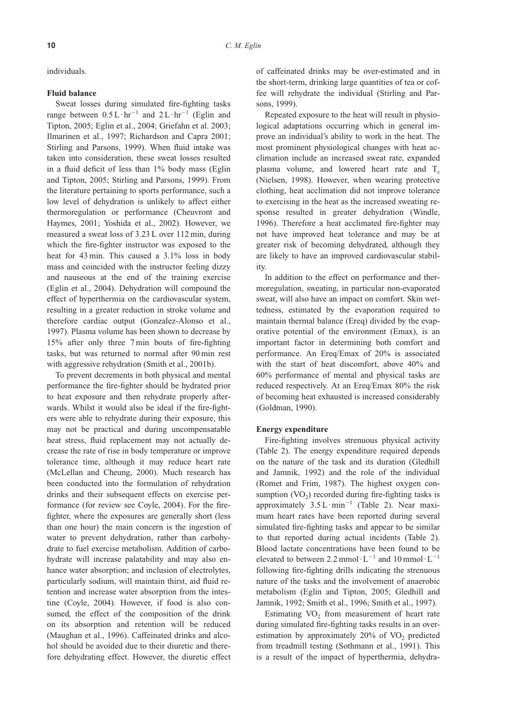individuals.

## **Fluid balance**

Sweat losses during simulated fire-fighting tasks range between  $0.5 L \cdot hr^{-1}$  and  $2 L \cdot hr^{-1}$  (Eglin and Tipton, 2005; Eglin et al., 2004; Griefahn et al. 2003; Ilmarinen et al., 1997; Richardson and Capra 2001; Stirling and Parsons, 1999). When fluid intake was taken into consideration, these sweat losses resulted in a fluid deficit of less than 1% body mass (Eglin and Tipton, 2005; Stirling and Parsons, 1999). From the literature pertaining to sports performance, such a low level of dehydration is unlikely to affect either thermoregulation or performance (Cheuvront and Haymes, 2001; Yoshida et al., 2002). However, we measured a sweat loss of 3.23 L over 112 min, during which the fire-fighter instructor was exposed to the heat for 43 min. This caused a 3.1% loss in body mass and coincided with the instructor feeling dizzy and nauseous at the end of the training exercise (Eglin et al., 2004). Dehydration will compound the effect of hyperthermia on the cardiovascular system, resulting in a greater reduction in stroke volume and therefore cardiac output (Gonzalez-Alonso et al., 1997). Plasma volume has been shown to decrease by 15% after only three 7 min bouts of fire-fighting tasks, but was returned to normal after 90 min rest with aggressive rehydration (Smith et al., 2001b).

To prevent decrements in both physical and mental performance the fire-fighter should be hydrated prior to heat exposure and then rehydrate properly afterwards. Whilst it would also be ideal if the fire-fighters were able to rehydrate during their exposure, this may not be practical and during uncompensatable heat stress, fluid replacement may not actually decrease the rate of rise in body temperature or improve tolerance time, although it may reduce heart rate (McLellan and Cheung, 2000). Much research has been conducted into the formulation of rehydration drinks and their subsequent effects on exercise performance (for review see Coyle, 2004). For the firefighter, where the exposures are generally short (less than one hour) the main concern is the ingestion of water to prevent dehydration, rather than carbohydrate to fuel exercise metabolism. Addition of carbohydrate will increase palatability and may also enhance water absorption; and inclusion of electrolytes, particularly sodium, will maintain thirst, aid fluid retention and increase water absorption from the intestine (Coyle, 2004). However, if food is also consumed, the effect of the composition of the drink on its absorption and retention will be reduced (Maughan et al., 1996). Caffeinated drinks and alcohol should be avoided due to their diuretic and therefore dehydrating effect. However, the diuretic effect

of caffeinated drinks may be over-estimated and in the short-term, drinking large quantities of tea or coffee will rehydrate the individual (Stirling and Parsons, 1999).

Repeated exposure to the heat will result in physiological adaptations occurring which in general improve an individual's ability to work in the heat. The most prominent physiological changes with heat acclimation include an increased sweat rate, expanded plasma volume, and lowered heart rate and  $T_c$ (Nielsen, 1998). However, when wearing protective clothing, heat acclimation did not improve tolerance to exercising in the heat as the increased sweating response resulted in greater dehydration (Windle, 1996). Therefore a heat acclimated fire-fighter may not have improved heat tolerance and may be at greater risk of becoming dehydrated, although they are likely to have an improved cardiovascular stability.

In addition to the effect on performance and thermoregulation, sweating, in particular non-evaporated sweat, will also have an impact on comfort. Skin wettedness, estimated by the evaporation required to maintain thermal balance (Ereq) divided by the evaporative potential of the environment (Emax), is an important factor in determining both comfort and performance. An Ereq/Emax of 20% is associated with the start of heat discomfort, above 40% and 60% performance of mental and physical tasks are reduced respectively. At an Ereq/Emax 80% the risk of becoming heat exhausted is increased considerably (Goldman, 1990).

# **Energy expenditure**

Fire-fighting involves strenuous physical activity (Table 2). The energy expenditure required depends on the nature of the task and its duration (Gledhill and Jamnik, 1992) and the role of the individual (Romet and Frim, 1987). The highest oxygen consumption  $(VO<sub>2</sub>)$  recorded during fire-fighting tasks is approximately  $3.5 L \cdot min^{-1}$  (Table 2). Near maximum heart rates have been reported during several simulated fire-fighting tasks and appear to be similar to that reported during actual incidents (Table 2). Blood lactate concentrations have been found to be elevated to between 2.2 mmol· $L^{-1}$  and 10 mmol· $L^{-1}$ following fire-fighting drills indicating the strenuous nature of the tasks and the involvement of anaerobic metabolism (Eglin and Tipton, 2005; Gledhill and Jamnik, 1992; Smith et al., 1996; Smith et al., 1997).

Estimating  $VO<sub>2</sub>$  from measurement of heart rate during simulated fire-fighting tasks results in an overestimation by approximately  $20\%$  of VO<sub>2</sub> predicted from treadmill testing (Sothmann et al., 1991). This is a result of the impact of hyperthermia, dehydra-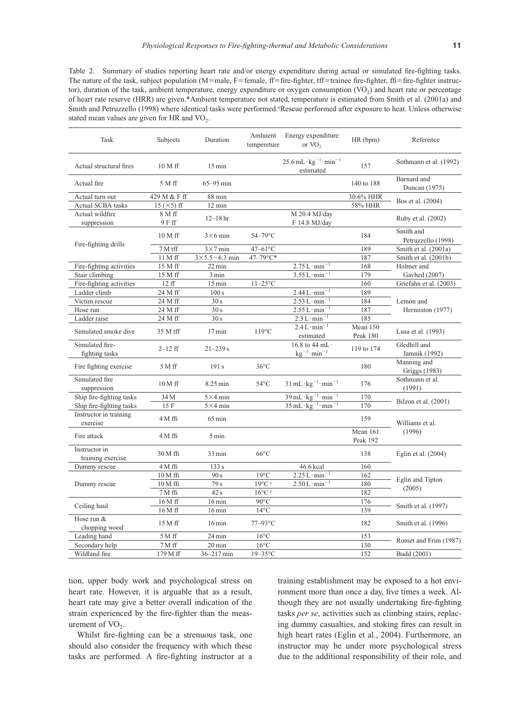Table 2. Summary of studies reporting heart rate and/or energy expenditure during actual or simulated fire-fighting tasks. The nature of the task, subject population (M=male, F=female, ff=fire-fighter, tff=trainee fire-fighter, ffi=fire-fighter instructor), duration of the task, ambient temperature, energy expenditure or oxygen consumption  $(VO<sub>2</sub>)$  and heart rate or percentage of heart rate reserve (HRR) are given.\*Ambient temperature not stated, temperature is estimated from Smith et al. (2001a) and Smith and Petruzzello (1998) where identical tasks were performed.†Rescue performed after exposure to heat. Unless otherwise stated mean values are given for HR and  $VO<sub>2</sub>$ .

| Task                               | Subjects            | Duration                 | Amluient<br>tempereture | Energy expenditure<br>or $VO2$                                            | HR(bpm)              | Reference                       |  |
|------------------------------------|---------------------|--------------------------|-------------------------|---------------------------------------------------------------------------|----------------------|---------------------------------|--|
| Actual structural fires            | 10 M ff             | $15 \,\mathrm{min}$      |                         | $25.6$ mL $\cdot$ kg <sup>-1</sup> $\cdot$ min <sup>-1</sup><br>estimated | 157                  | Sothmann et al. (1992)          |  |
| Actual fire                        | 5 M ff              | $65-95$ min              |                         |                                                                           | 140 to 188           | Barnard and<br>Duncan (1975)    |  |
| Actual turn out                    | 429 M & F ff        | 88 min                   |                         |                                                                           | 30.6% HHR            | Bos et al. (2004)               |  |
| <b>Actual SCBA tasks</b>           | 15 ( $\times$ 5) ff | 12 min                   |                         |                                                                           | 58% HHR              |                                 |  |
| Actual wildfire                    | 8 M ff              | $12 - 18$ hr             |                         | M 20.4 MJ/day                                                             |                      |                                 |  |
| suppression                        | 9 F ff              |                          |                         | F 14.8 MJ/day                                                             |                      | Ruby et al. (2002)              |  |
|                                    | 10 M ff             | $3\times 6$ min          | 54-79°C                 |                                                                           | 184                  | Smith and<br>Petruzzello (1998) |  |
| Fire-fighting drills               | 7 M tff             | $3\times7$ min           | $47-61$ °C              |                                                                           | 189                  | Smith et al. (2001a)            |  |
|                                    | $11M$ ff            | $3 \times 5.5 - 6.3$ min | $47 - 79^{\circ}C^*$    |                                                                           | 187                  | Smith et al. (2001b)            |  |
| Fire-fighting activities           | 15 M ff             | 22 min                   |                         | $2.75 L \cdot min^{-1}$                                                   | 168                  | Holmer and                      |  |
| Stair climbing                     | 15 M ff             | 3 min                    |                         | $3.55 L \cdot min^{-1}$                                                   | 179                  | Gavhed (2007)                   |  |
| Fire-fighting activities           | 12ff                | $15 \text{ min}$         | $11-25$ °C              |                                                                           | 160                  | Griefahn et al. (2003)          |  |
| Ladder climb                       | 24 M ff             | 100 s                    |                         | $2.44 L \cdot min^{-1}$                                                   | 189                  |                                 |  |
| Victim rescue                      | 24 M ff             | 30s                      |                         | $2.53 L \cdot min^{-1}$                                                   | 184                  | Lemon and                       |  |
| Hose run                           | 24 M ff             | 30s                      |                         | $2.55 L \cdot min^{-1}$                                                   | 187                  | Hermiston (1977)                |  |
| Ladder raise                       | 24 M ff             | 30 s                     |                         | $2.3 L \cdot min^{-1}$                                                    | 185                  |                                 |  |
| Simulated smoke dive               | 35 M tff            | $17 \,\mathrm{min}$      | $119^{\circ}$ C         | $2.4 L \cdot min^{-1}$<br>estimated                                       | Mean 150<br>Peak 180 | Lusa et al. (1993)              |  |
| Simulated fire-<br>fighting tasks  | $2 - 12$ ff         | $21 - 239s$              |                         | 16.8 to 44 mL $\cdot$<br>$kg^{-1} \cdot min^{-1}$                         | 119 to 174           | Gledhill and<br>Jamnik (1992)   |  |
| Fire fighting exercise             | $5M$ ff             | 191 s                    | $36^{\circ}$ C          |                                                                           | 180                  | Manning and<br>Griggs (1983)    |  |
| Simulated fire<br>suppression      | $10M$ ff            | 8.25 min                 | $54^{\circ}$ C          | $31 \text{ mL} \cdot \text{kg}^{-1} \cdot \text{min}^{-1}$                | 176                  | Sothmann et al.<br>(1991)       |  |
| Ship fire-fighting tasks           | 34 M                | $5\times4$ min           |                         | $39 \text{ mL} \cdot \text{kg}^{-1} \cdot \text{min}^{-1}$                | 170                  |                                 |  |
| Ship fire-fighting tasks           | 15 F                | $5\times4$ min           |                         | $35 \text{ mL} \cdot \text{kg}^{-1} \cdot \text{min}^{-1}$                | 170                  | Bilzon et al. (2001)            |  |
| Instructor in training<br>exercise | $4M$ ffi            | $65 \,\mathrm{min}$      |                         |                                                                           | 159                  | Williams et al.                 |  |
| Fire attack                        | $4M$ ffi            | 5 min                    |                         |                                                                           | Mean 161<br>Peak 192 | (1996)                          |  |
| Instructor in<br>training exercise | 30 M ffi            | 33 min                   | $66^{\circ}$ C          |                                                                           | 138                  | Eglin et al. $(2004)$           |  |
| Dummy rescue                       | $4M$ ffi            | 133s                     |                         | 46.6 kcal                                                                 | 160                  |                                 |  |
|                                    | $10M$ ffi           | 90 s                     | $19^{\circ}$ C          | $2.25 L \cdot min^{-1}$                                                   | 162                  |                                 |  |
| Dummy rescue                       | $10M$ ffi           | 79 s                     | 19°C†                   | $2.50 L \cdot min^{-1}$                                                   | 180                  | Eglin and Tipton                |  |
|                                    | $7M$ ffi            | 42 s                     | $16^{\circ}$ C t        |                                                                           | 182                  | (2005)                          |  |
|                                    | 16 M ff             | $16 \text{ min}$         | $90^{\circ}$ C          |                                                                           | 176                  |                                 |  |
| Ceiling haul                       | 16 M ff             | $16 \text{ min}$         | $14^{\circ}$ C          |                                                                           | 139                  | Smith et al. (1997)             |  |
| Hose run &<br>chopping wood        | 15 M ff             | $16 \,\mathrm{min}$      | 77-93°C                 |                                                                           | 182                  | Smith et al. (1996)             |  |
| Leading hand                       | $5M$ ff             | 24 min                   | $16^{\circ}$ C          |                                                                           | 153                  | Romet and Frim (1987)           |  |
| Secondary help                     | 7 M ff              | 20 min                   | $16^{\circ}$ C          |                                                                           | 130                  |                                 |  |
| Wildland fire                      | 179 M ff            | $36 - 217$ min           | $19-35$ °C              |                                                                           | 152                  | Budd (2001)                     |  |

tion, upper body work and psychological stress on heart rate. However, it is arguable that as a result, heart rate may give a better overall indication of the strain experienced by the fire-fighter than the measurement of  $VO<sub>2</sub>$ .

Whilst fire-fighting can be a strenuous task, one should also consider the frequency with which these tasks are performed. A fire-fighting instructor at a training establishment may be exposed to a hot environment more than once a day, five times a week. Although they are not usually undertaking fire-fighting tasks *per se*, activities such as climbing stairs, replacing dummy casualties, and stoking fires can result in high heart rates (Eglin et al., 2004). Furthermore, an instructor may be under more psychological stress due to the additional responsibility of their role, and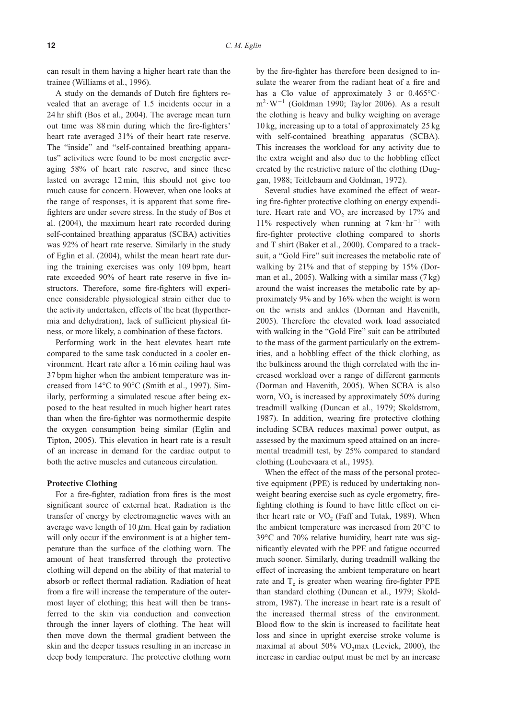can result in them having a higher heart rate than the trainee (Williams et al., 1996).

A study on the demands of Dutch fire fighters revealed that an average of 1.5 incidents occur in a 24 hr shift (Bos et al., 2004). The average mean turn out time was 88 min during which the fire-fighters' heart rate averaged 31% of their heart rate reserve. The "inside" and "self-contained breathing apparatus" activities were found to be most energetic averaging 58% of heart rate reserve, and since these lasted on average 12 min, this should not give too much cause for concern. However, when one looks at the range of responses, it is apparent that some firefighters are under severe stress. In the study of Bos et al. (2004), the maximum heart rate recorded during self-contained breathing apparatus (SCBA) activities was 92% of heart rate reserve. Similarly in the study of Eglin et al. (2004), whilst the mean heart rate during the training exercises was only 109 bpm, heart rate exceeded 90% of heart rate reserve in five instructors. Therefore, some fire-fighters will experience considerable physiological strain either due to the activity undertaken, effects of the heat (hyperthermia and dehydration), lack of sufficient physical fitness, or more likely, a combination of these factors.

Performing work in the heat elevates heart rate compared to the same task conducted in a cooler environment. Heart rate after a 16 min ceiling haul was 37 bpm higher when the ambient temperature was increased from 14°C to 90°C (Smith et al., 1997). Similarly, performing a simulated rescue after being exposed to the heat resulted in much higher heart rates than when the fire-fighter was normothermic despite the oxygen consumption being similar (Eglin and Tipton, 2005). This elevation in heart rate is a result of an increase in demand for the cardiac output to both the active muscles and cutaneous circulation.

# **Protective Clothing**

For a fire-fighter, radiation from fires is the most significant source of external heat. Radiation is the transfer of energy by electromagnetic waves with an average wave length of 10  $\mu$ m. Heat gain by radiation will only occur if the environment is at a higher temperature than the surface of the clothing worn. The amount of heat transferred through the protective clothing will depend on the ability of that material to absorb or reflect thermal radiation. Radiation of heat from a fire will increase the temperature of the outermost layer of clothing; this heat will then be transferred to the skin via conduction and convection through the inner layers of clothing. The heat will then move down the thermal gradient between the skin and the deeper tissues resulting in an increase in deep body temperature. The protective clothing worn

by the fire-fighter has therefore been designed to insulate the wearer from the radiant heat of a fire and has a Clo value of approximately 3 or  $0.465^{\circ}$ C ·  $m^2 \cdot W^{-1}$  (Goldman 1990; Taylor 2006). As a result the clothing is heavy and bulky weighing on average 10 kg, increasing up to a total of approximately 25 kg with self-contained breathing apparatus (SCBA). This increases the workload for any activity due to the extra weight and also due to the hobbling effect created by the restrictive nature of the clothing (Duggan, 1988; Teitlebaum and Goldman, 1972).

Several studies have examined the effect of wearing fire-fighter protective clothing on energy expenditure. Heart rate and  $VO<sub>2</sub>$  are increased by 17% and 11% respectively when running at  $7 \text{ km} \cdot \text{hr}^{-1}$  with fire-fighter protective clothing compared to shorts and T shirt (Baker et al., 2000). Compared to a tracksuit, a "Gold Fire" suit increases the metabolic rate of walking by 21% and that of stepping by 15% (Dorman et al., 2005). Walking with a similar mass (7 kg) around the waist increases the metabolic rate by approximately 9% and by 16% when the weight is worn on the wrists and ankles (Dorman and Havenith, 2005). Therefore the elevated work load associated with walking in the "Gold Fire" suit can be attributed to the mass of the garment particularly on the extremities, and a hobbling effect of the thick clothing, as the bulkiness around the thigh correlated with the increased workload over a range of different garments (Dorman and Havenith, 2005). When SCBA is also worn,  $VO<sub>2</sub>$  is increased by approximately 50% during treadmill walking (Duncan et al., 1979; Skoldstrom, 1987). In addition, wearing fire protective clothing including SCBA reduces maximal power output, as assessed by the maximum speed attained on an incremental treadmill test, by 25% compared to standard clothing (Louhevaara et al., 1995).

When the effect of the mass of the personal protective equipment (PPE) is reduced by undertaking nonweight bearing exercise such as cycle ergometry, firefighting clothing is found to have little effect on either heart rate or  $VO<sub>2</sub>$  (Faff and Tutak, 1989). When the ambient temperature was increased from 20°C to 39°C and 70% relative humidity, heart rate was significantly elevated with the PPE and fatigue occurred much sooner. Similarly, during treadmill walking the effect of increasing the ambient temperature on heart rate and  $T_c$  is greater when wearing fire-fighter PPE than standard clothing (Duncan et al., 1979; Skoldstrom, 1987). The increase in heart rate is a result of the increased thermal stress of the environment. Blood flow to the skin is increased to facilitate heat loss and since in upright exercise stroke volume is maximal at about  $50\%$  VO<sub>2</sub>max (Levick, 2000), the increase in cardiac output must be met by an increase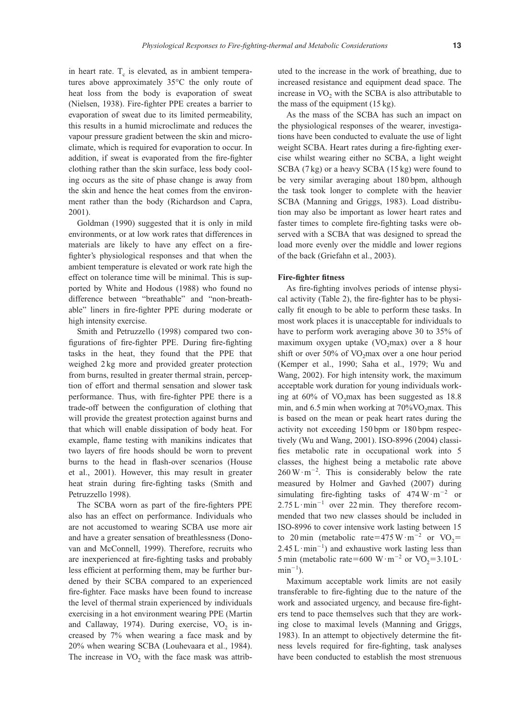in heart rate.  $T_c$  is elevated, as in ambient temperatures above approximately 35°C the only route of heat loss from the body is evaporation of sweat (Nielsen, 1938). Fire-fighter PPE creates a barrier to evaporation of sweat due to its limited permeability, this results in a humid microclimate and reduces the vapour pressure gradient between the skin and microclimate, which is required for evaporation to occur. In addition, if sweat is evaporated from the fire-fighter clothing rather than the skin surface, less body cooling occurs as the site of phase change is away from the skin and hence the heat comes from the environment rather than the body (Richardson and Capra, 2001).

Goldman (1990) suggested that it is only in mild environments, or at low work rates that differences in materials are likely to have any effect on a firefighter's physiological responses and that when the ambient temperature is elevated or work rate high the effect on tolerance time will be minimal. This is supported by White and Hodous (1988) who found no difference between "breathable" and "non-breathable" liners in fire-fighter PPE during moderate or high intensity exercise.

Smith and Petruzzello (1998) compared two configurations of fire-fighter PPE. During fire-fighting tasks in the heat, they found that the PPE that weighed 2 kg more and provided greater protection from burns, resulted in greater thermal strain, perception of effort and thermal sensation and slower task performance. Thus, with fire-fighter PPE there is a trade-off between the configuration of clothing that will provide the greatest protection against burns and that which will enable dissipation of body heat. For example, flame testing with manikins indicates that two layers of fire hoods should be worn to prevent burns to the head in flash-over scenarios (House et al., 2001). However, this may result in greater heat strain during fire-fighting tasks (Smith and Petruzzello 1998).

The SCBA worn as part of the fire-fighters PPE also has an effect on performance. Individuals who are not accustomed to wearing SCBA use more air and have a greater sensation of breathlessness (Donovan and McConnell, 1999). Therefore, recruits who are inexperienced at fire-fighting tasks and probably less efficient at performing them, may be further burdened by their SCBA compared to an experienced fire-fighter. Face masks have been found to increase the level of thermal strain experienced by individuals exercising in a hot environment wearing PPE (Martin and Callaway, 1974). During exercise,  $VO<sub>2</sub>$  is increased by 7% when wearing a face mask and by 20% when wearing SCBA (Louhevaara et al., 1984). The increase in  $VO<sub>2</sub>$  with the face mask was attributed to the increase in the work of breathing, due to increased resistance and equipment dead space. The increase in  $VO<sub>2</sub>$  with the SCBA is also attributable to the mass of the equipment (15 kg).

As the mass of the SCBA has such an impact on the physiological responses of the wearer, investigations have been conducted to evaluate the use of light weight SCBA. Heart rates during a fire-fighting exercise whilst wearing either no SCBA, a light weight SCBA (7 kg) or a heavy SCBA (15 kg) were found to be very similar averaging about 180 bpm, although the task took longer to complete with the heavier SCBA (Manning and Griggs, 1983). Load distribution may also be important as lower heart rates and faster times to complete fire-fighting tasks were observed with a SCBA that was designed to spread the load more evenly over the middle and lower regions of the back (Griefahn et al., 2003).

## **Fire-fighter fitness**

As fire-fighting involves periods of intense physical activity (Table 2), the fire-fighter has to be physically fit enough to be able to perform these tasks. In most work places it is unacceptable for individuals to have to perform work averaging above 30 to 35% of maximum oxygen uptake  $(VO_2$ max) over a 8 hour shift or over  $50\%$  of VO<sub>2</sub>max over a one hour period (Kemper et al., 1990; Saha et al., 1979; Wu and Wang, 2002). For high intensity work, the maximum acceptable work duration for young individuals working at  $60\%$  of VO<sub>2</sub>max has been suggested as  $18.8$ min, and  $6.5$  min when working at  $70\%$ VO<sub>2</sub>max. This is based on the mean or peak heart rates during the activity not exceeding 150 bpm or 180 bpm respectively (Wu and Wang, 2001). ISO-8996 (2004) classifies metabolic rate in occupational work into 5 classes, the highest being a metabolic rate above  $260 \,\mathrm{W} \cdot \mathrm{m}^{-2}$ . This is considerably below the rate measured by Holmer and Gavhed (2007) during simulating fire-fighting tasks of  $474 \,\mathrm{W \cdot m}^{-2}$  or  $2.75 \text{ L} \cdot \text{min}^{-1}$  over 22 min. They therefore recommended that two new classes should be included in ISO-8996 to cover intensive work lasting between 15 to 20 min (metabolic rate=475 W·m<sup>-2</sup> or VO<sub>2</sub>=  $2.45 \text{ L} \cdot \text{min}^{-1}$ ) and exhaustive work lasting less than 5 min (metabolic rate=600 W·m<sup>-2</sup> or VO<sub>2</sub>=3.10 L·  $min^{-1}$ ).

Maximum acceptable work limits are not easily transferable to fire-fighting due to the nature of the work and associated urgency, and because fire-fighters tend to pace themselves such that they are working close to maximal levels (Manning and Griggs, 1983). In an attempt to objectively determine the fitness levels required for fire-fighting, task analyses have been conducted to establish the most strenuous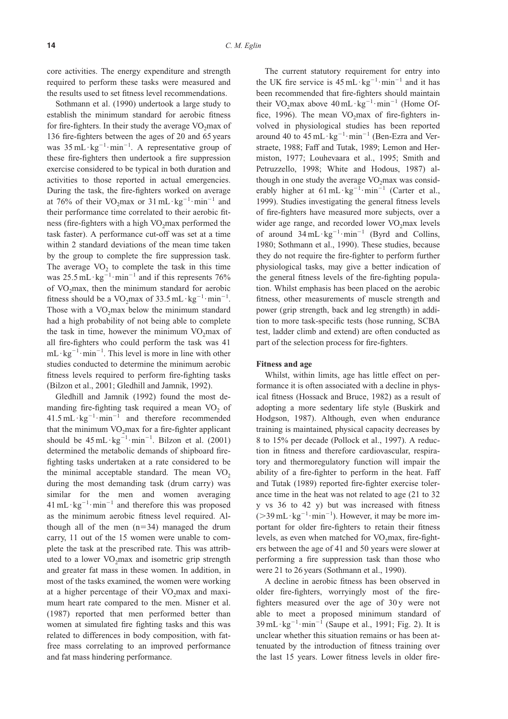core activities. The energy expenditure and strength required to perform these tasks were measured and the results used to set fitness level recommendations.

Sothmann et al. (1990) undertook a large study to establish the minimum standard for aerobic fitness for fire-fighters. In their study the average  $VO<sub>2</sub>max$  of 136 fire-fighters between the ages of 20 and 65 years was  $35 \text{ mL} \cdot \text{kg}^{-1} \cdot \text{min}^{-1}$ . A representative group of these fire-fighters then undertook a fire suppression exercise considered to be typical in both duration and activities to those reported in actual emergencies. During the task, the fire-fighters worked on average at 76% of their VO<sub>2</sub>max or  $31 \text{ mL} \cdot \text{kg}^{-1} \cdot \text{min}^{-1}$  and their performance time correlated to their aerobic fitness (fire-fighters with a high  $VO<sub>2</sub>$ max performed the task faster). A performance cut-off was set at a time within 2 standard deviations of the mean time taken by the group to complete the fire suppression task. The average  $VO<sub>2</sub>$  to complete the task in this time was  $25.5$  mL·kg<sup>-1</sup>·min<sup>-1</sup> and if this represents 76% of VO<sub>2</sub>max, then the minimum standard for aerobic fitness should be a  $VO_2$ max of 33.5 mL·kg<sup>-1</sup>·min<sup>-1</sup>. Those with a  $VO<sub>2</sub>max$  below the minimum standard had a high probability of not being able to complete the task in time, however the minimum  $VO_2$ max of all fire-fighters who could perform the task was 41  $mL \cdot kg^{-1} \cdot min^{-1}$ . This level is more in line with other studies conducted to determine the minimum aerobic fitness levels required to perform fire-fighting tasks (Bilzon et al., 2001; Gledhill and Jamnik, 1992).

Gledhill and Jamnik (1992) found the most demanding fire-fighting task required a mean  $VO<sub>2</sub>$  of  $41.5$  mL· $kg^{-1}$ ·min<sup>-1</sup> and therefore recommended that the minimum  $VO_2$ max for a fire-fighter applicant should be  $45 \text{ mL} \cdot \text{kg}^{-1} \cdot \text{min}^{-1}$ . Bilzon et al. (2001) determined the metabolic demands of shipboard firefighting tasks undertaken at a rate considered to be the minimal acceptable standard. The mean  $VO<sub>2</sub>$ during the most demanding task (drum carry) was similar for the men and women averaging  $41 \text{ mL} \cdot \text{kg}^{-1} \cdot \text{min}^{-1}$  and therefore this was proposed as the minimum aerobic fitness level required. Although all of the men  $(n=34)$  managed the drum carry, 11 out of the 15 women were unable to complete the task at the prescribed rate. This was attributed to a lower VO<sub>2</sub>max and isometric grip strength and greater fat mass in these women. In addition, in most of the tasks examined, the women were working at a higher percentage of their VO<sub>2</sub>max and maximum heart rate compared to the men. Misner et al. (1987) reported that men performed better than women at simulated fire fighting tasks and this was related to differences in body composition, with fatfree mass correlating to an improved performance and fat mass hindering performance.

The current statutory requirement for entry into the UK fire service is  $45 \text{ mL} \cdot \text{kg}^{-1} \cdot \text{min}^{-1}$  and it has been recommended that fire-fighters should maintain their VO<sub>2</sub>max above  $40 \text{ mL} \cdot \text{kg}^{-1} \cdot \text{min}^{-1}$  (Home Office, 1996). The mean  $VO_2$ max of fire-fighters involved in physiological studies has been reported around 40 to  $45 \text{ mL} \cdot \text{kg}^{-1} \cdot \text{min}^{-1}$  (Ben-Ezra and Verstraete, 1988; Faff and Tutak, 1989; Lemon and Hermiston, 1977; Louhevaara et al., 1995; Smith and Petruzzello, 1998; White and Hodous, 1987) although in one study the average  $VO<sub>2</sub>$ max was considerably higher at  $61 \text{ mL} \cdot \text{kg}^{-1} \cdot \text{min}^{-1}$  (Carter et al., 1999). Studies investigating the general fitness levels of fire-fighters have measured more subjects, over a wider age range, and recorded lower  $VO<sub>2</sub>$ max levels of around  $34 \text{ mL} \cdot \text{kg}^{-1} \cdot \text{min}^{-1}$  (Byrd and Collins, 1980; Sothmann et al., 1990). These studies, because they do not require the fire-fighter to perform further physiological tasks, may give a better indication of the general fitness levels of the fire-fighting population. Whilst emphasis has been placed on the aerobic fitness, other measurements of muscle strength and power (grip strength, back and leg strength) in addition to more task-specific tests (hose running, SCBA test, ladder climb and extend) are often conducted as part of the selection process for fire-fighters.

#### **Fitness and age**

Whilst, within limits, age has little effect on performance it is often associated with a decline in physical fitness (Hossack and Bruce, 1982) as a result of adopting a more sedentary life style (Buskirk and Hodgson, 1987). Although, even when endurance training is maintained, physical capacity decreases by 8 to 15% per decade (Pollock et al., 1997). A reduction in fitness and therefore cardiovascular, respiratory and thermoregulatory function will impair the ability of a fire-fighter to perform in the heat. Faff and Tutak (1989) reported fire-fighter exercise tolerance time in the heat was not related to age (21 to 32 y vs 36 to 42 y) but was increased with fitness  $(>=39 \text{ mL} \cdot \text{kg}^{-1} \cdot \text{min}^{-1})$ . However, it may be more important for older fire-fighters to retain their fitness levels, as even when matched for  $VO<sub>2</sub>max$ , fire-fighters between the age of 41 and 50 years were slower at performing a fire suppression task than those who were 21 to 26 years (Sothmann et al., 1990).

A decline in aerobic fitness has been observed in older fire-fighters, worryingly most of the firefighters measured over the age of 30 y were not able to meet a proposed minimum standard of  $39 \text{ mL} \cdot \text{kg}^{-1} \cdot \text{min}^{-1}$  (Saupe et al., 1991; Fig. 2). It is unclear whether this situation remains or has been attenuated by the introduction of fitness training over the last 15 years. Lower fitness levels in older fire-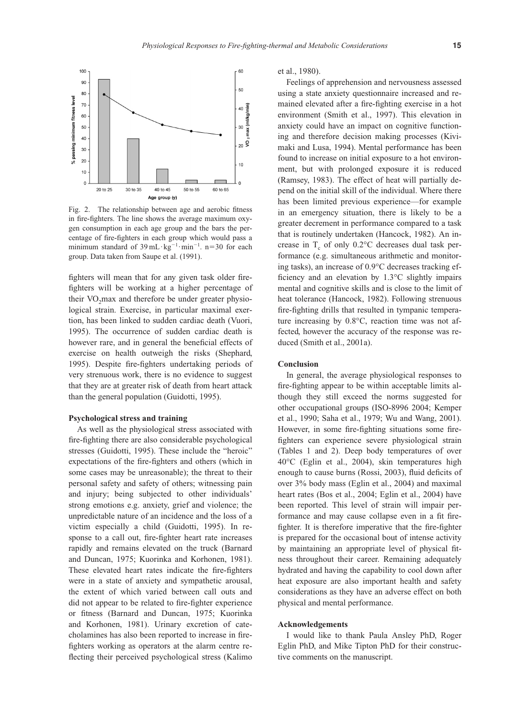

Fig. 2. The relationship between age and aerobic fitness in fire-fighters. The line shows the average maximum oxygen consumption in each age group and the bars the percentage of fire-fighters in each group which would pass a minimum standard of  $39 \text{ mL} \cdot \text{kg}^{-1} \cdot \text{min}^{-1}$ . n=30 for each group. Data taken from Saupe et al. (1991).

fighters will mean that for any given task older firefighters will be working at a higher percentage of their  $VO<sub>2</sub>max$  and therefore be under greater physiological strain. Exercise, in particular maximal exertion, has been linked to sudden cardiac death (Vuori, 1995). The occurrence of sudden cardiac death is however rare, and in general the beneficial effects of exercise on health outweigh the risks (Shephard, 1995). Despite fire-fighters undertaking periods of very strenuous work, there is no evidence to suggest that they are at greater risk of death from heart attack than the general population (Guidotti, 1995).

# **Psychological stress and training**

As well as the physiological stress associated with fire-fighting there are also considerable psychological stresses (Guidotti, 1995). These include the "heroic" expectations of the fire-fighters and others (which in some cases may be unreasonable); the threat to their personal safety and safety of others; witnessing pain and injury; being subjected to other individuals' strong emotions e.g. anxiety, grief and violence; the unpredictable nature of an incidence and the loss of a victim especially a child (Guidotti, 1995). In response to a call out, fire-fighter heart rate increases rapidly and remains elevated on the truck (Barnard and Duncan, 1975; Kuorinka and Korhonen, 1981). These elevated heart rates indicate the fire-fighters were in a state of anxiety and sympathetic arousal, the extent of which varied between call outs and did not appear to be related to fire-fighter experience or fitness (Barnard and Duncan, 1975; Kuorinka and Korhonen, 1981). Urinary excretion of catecholamines has also been reported to increase in firefighters working as operators at the alarm centre reflecting their perceived psychological stress (Kalimo et al., 1980).

Feelings of apprehension and nervousness assessed using a state anxiety questionnaire increased and remained elevated after a fire-fighting exercise in a hot environment (Smith et al., 1997). This elevation in anxiety could have an impact on cognitive functioning and therefore decision making processes (Kivimaki and Lusa, 1994). Mental performance has been found to increase on initial exposure to a hot environment, but with prolonged exposure it is reduced (Ramsey, 1983). The effect of heat will partially depend on the initial skill of the individual. Where there has been limited previous experience—for example in an emergency situation, there is likely to be a greater decrement in performance compared to a task that is routinely undertaken (Hancock, 1982). An increase in  $T_c$  of only 0.2°C decreases dual task performance (e.g. simultaneous arithmetic and monitoring tasks), an increase of 0.9°C decreases tracking efficiency and an elevation by 1.3°C slightly impairs mental and cognitive skills and is close to the limit of heat tolerance (Hancock, 1982). Following strenuous fire-fighting drills that resulted in tympanic temperature increasing by 0.8°C, reaction time was not affected, however the accuracy of the response was reduced (Smith et al., 2001a).

### **Conclusion**

In general, the average physiological responses to fire-fighting appear to be within acceptable limits although they still exceed the norms suggested for other occupational groups (ISO-8996 2004; Kemper et al., 1990; Saha et al., 1979; Wu and Wang, 2001). However, in some fire-fighting situations some firefighters can experience severe physiological strain (Tables 1 and 2). Deep body temperatures of over 40°C (Eglin et al., 2004), skin temperatures high enough to cause burns (Rossi, 2003), fluid deficits of over 3% body mass (Eglin et al., 2004) and maximal heart rates (Bos et al., 2004; Eglin et al., 2004) have been reported. This level of strain will impair performance and may cause collapse even in a fit firefighter. It is therefore imperative that the fire-fighter is prepared for the occasional bout of intense activity by maintaining an appropriate level of physical fitness throughout their career. Remaining adequately hydrated and having the capability to cool down after heat exposure are also important health and safety considerations as they have an adverse effect on both physical and mental performance.

#### **Acknowledgements**

I would like to thank Paula Ansley PhD, Roger Eglin PhD, and Mike Tipton PhD for their constructive comments on the manuscript.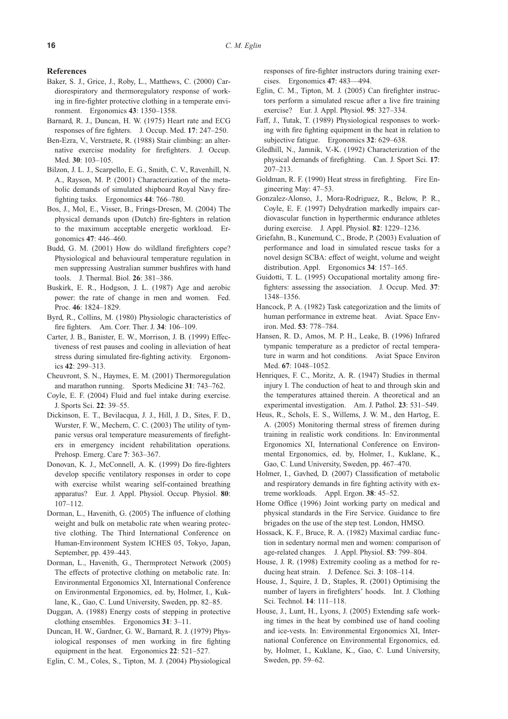#### **References**

- Baker, S. J., Grice, J., Roby, L., Matthews, C. (2000) Cardiorespiratory and thermoregulatory response of working in fire-fighter protective clothing in a temperate environment. Ergonomics **43**: 1350–1358.
- Barnard, R. J., Duncan, H. W. (1975) Heart rate and ECG responses of fire fighters. J. Occup. Med. **17**: 247–250.
- Ben-Ezra, V., Verstraete, R. (1988) Stair climbing: an alternative exercise modality for firefighters. J. Occup. Med. **30**: 103–105.
- Bilzon, J. L. J., Scarpello, E. G., Smith, C. V., Ravenhill, N. A., Rayson, M. P. (2001) Characterization of the metabolic demands of simulated shipboard Royal Navy firefighting tasks. Ergonomics **44**: 766–780.
- Bos, J., Mol, E., Visser, B., Frings-Dresen, M. (2004) The physical demands upon (Dutch) fire-fighters in relation to the maximum acceptable energetic workload. Ergonomics **47**: 446–460.
- Budd, G. M. (2001) How do wildland firefighters cope? Physiological and behavioural temperature regulation in men suppressing Australian summer bushfires with hand tools. J. Thermal. Biol. **26**: 381–386.
- Buskirk, E. R., Hodgson, J. L. (1987) Age and aerobic power: the rate of change in men and women. Fed. Proc. **46**: 1824–1829.
- Byrd, R., Collins, M. (1980) Physiologic characteristics of fire fighters. Am. Corr. Ther. J. **34**: 106–109.
- Carter, J. B., Banister, E. W., Morrison, J. B. (1999) Effectiveness of rest pauses and cooling in alleviation of heat stress during simulated fire-fighting activity. Ergonomics **42**: 299–313.
- Cheuvront, S. N., Haymes, E. M. (2001) Thermoregulation and marathon running. Sports Medicine **31**: 743–762.
- Coyle, E. F. (2004) Fluid and fuel intake during exercise. J. Sports Sci. **22**: 39–55.
- Dickinson, E. T., Bevilacqua, J. J., Hill, J. D., Sites, F. D., Wurster, F. W., Mechem, C. C. (2003) The utility of tympanic versus oral temperature measurements of firefighters in emergency incident rehabilitation operations. Prehosp. Emerg. Care **7**: 363–367.
- Donovan, K. J., McConnell, A. K. (1999) Do fire-fighters develop specific ventilatory responses in order to cope with exercise whilst wearing self-contained breathing apparatus? Eur. J. Appl. Physiol. Occup. Physiol. **80**: 107–112.
- Dorman, L., Havenith, G. (2005) The influence of clothing weight and bulk on metabolic rate when wearing protective clothing. The Third International Conference on Human-Environment System ICHES 05, Tokyo, Japan, September, pp. 439–443.
- Dorman, L., Havenith, G., Thermprotect Network (2005) The effects of protective clothing on metabolic rate. In: Environmental Ergonomics XI, International Conference on Environmental Ergonomics, ed. by, Holmer, I., Kuklane, K., Gao, C. Lund University, Sweden, pp. 82–85.
- Duggan, A. (1988) Energy costs of stepping in protective clothing ensembles. Ergonomics **31**: 3–11.
- Duncan, H. W., Gardner, G. W., Barnard, R. J. (1979) Physiological responses of men working in fire fighting equipment in the heat. Ergonomics **22**: 521–527.
- Eglin, C. M., Coles, S., Tipton, M. J. (2004) Physiological

responses of fire-fighter instructors during training exercises. Ergonomics **47**: 483––494.

- Eglin, C. M., Tipton, M. J. (2005) Can firefighter instructors perform a simulated rescue after a live fire training exercise? Eur. J. Appl. Physiol. **95**: 327–334.
- Faff, J., Tutak, T. (1989) Physiological responses to working with fire fighting equipment in the heat in relation to subjective fatigue. Ergonomics **32**: 629–638.
- Gledhill, N., Jamnik, V.-K. (1992) Characterization of the physical demands of firefighting. Can. J. Sport Sci. **17**: 207–213.
- Goldman, R. F. (1990) Heat stress in firefighting. Fire Engineering May: 47–53.
- Gonzalez-Alonso, J., Mora-Rodriguez, R., Below, P. R., Coyle, E. F. (1997) Dehydration markedly impairs cardiovascular function in hyperthermic endurance athletes during exercise. J. Appl. Physiol. **82**: 1229–1236.
- Griefahn, B., Kunemund, C., Brode, P. (2003) Evaluation of performance and load in simulated rescue tasks for a novel design SCBA: effect of weight, volume and weight distribution. Appl. Ergonomics **34**: 157–165.
- Guidotti, T. L. (1995) Occupational mortality among firefighters: assessing the association. J. Occup. Med. **37**: 1348–1356.
- Hancock, P. A. (1982) Task categorization and the limits of human performance in extreme heat. Aviat. Space Environ. Med. **53**: 778–784.
- Hansen, R. D., Amos, M. P. H., Leake, B. (1996) Infrared tympanic temperature as a predictor of rectal temperature in warm and hot conditions. Aviat Space Environ Med. **67**: 1048–1052.
- Henriques, F. C., Moritz, A. R. (1947) Studies in thermal injury I. The conduction of heat to and through skin and the temperatures attained therein. A theoretical and an experimental investigation. Am. J. Pathol. **23**: 531–549.
- Heus, R., Schols, E. S., Willems, J. W. M., den Hartog, E. A. (2005) Monitoring thermal stress of firemen during training in realistic work conditions. In: Environmental Ergonomics XI, International Conference on Environmental Ergonomics, ed. by, Holmer, I., Kuklane, K., Gao, C. Lund University, Sweden, pp. 467–470.
- Holmer, I., Gavhed, D. (2007) Classification of metabolic and respiratory demands in fire fighting activity with extreme workloads. Appl. Ergon. **38**: 45–52.
- Home Office (1996) Joint working party on medical and physical standards in the Fire Service. Guidance to fire brigades on the use of the step test. London, HMSO.
- Hossack, K. F., Bruce, R. A. (1982) Maximal cardiac function in sedentary normal men and women: comparison of age-related changes. J. Appl. Physiol. **53**: 799–804.
- House, J. R. (1998) Extremity cooling as a method for reducing heat strain. J. Defence. Sci. **3**: 108–114.
- House, J., Squire, J. D., Staples, R. (2001) Optimising the number of layers in firefighters' hoods. Int. J. Clothing Sci. Technol. **14**: 111–118.
- House, J., Lunt, H., Lyons, J. (2005) Extending safe working times in the heat by combined use of hand cooling and ice-vests. In: Environmental Ergonomics XI, International Conference on Environmental Ergonomics, ed. by, Holmer, I., Kuklane, K., Gao, C. Lund University, Sweden, pp. 59–62.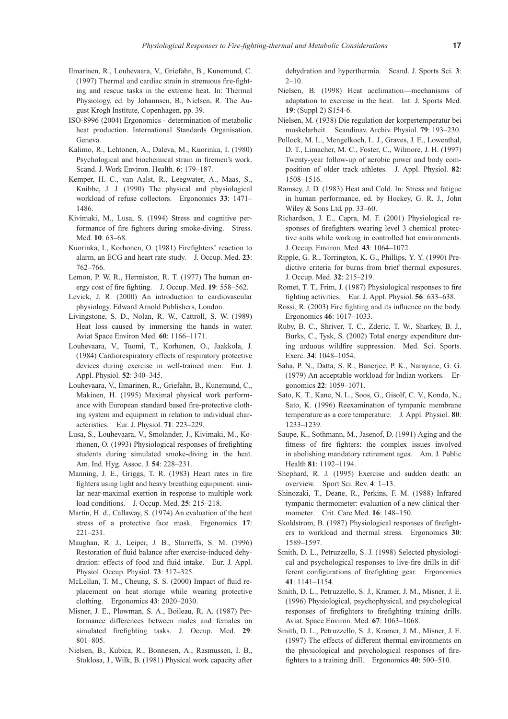- Ilmarinen, R., Louhevaara, V., Griefahn, B., Kunemund, C. (1997) Thermal and cardiac strain in strenuous fire-fighting and rescue tasks in the extreme heat. In: Thermal Physiology, ed. by Johannsen, B., Nielsen, R. The August Krogh Institute, Copenhagen, pp. 39.
- ISO-8996 (2004) Ergonomics determination of metabolic heat production. International Standards Organisation, Geneva.
- Kalimo, R., Lehtonen, A., Daleva, M., Kuorinka, I. (1980) Psychological and biochemical strain in firemen's work. Scand. J. Work Environ. Health. **6**: 179–187.
- Kemper, H. C., van Aalst, R., Leegwater, A., Maas, S., Knibbe, J. J. (1990) The physical and physiological workload of refuse collectors. Ergonomics **33**: 1471– 1486.
- Kivimaki, M., Lusa, S. (1994) Stress and cognitive performance of fire fighters during smoke-diving. Stress. Med. **10**: 63–68.
- Kuorinka, I., Korhonen, O. (1981) Firefighters' reaction to alarm, an ECG and heart rate study. J. Occup. Med. **23**: 762–766.
- Lemon, P. W. R., Hermiston, R. T. (1977) The human energy cost of fire fighting. J. Occup. Med. **19**: 558–562.
- Levick, J. R. (2000) An introduction to cardiovascular physiology. Edward Arnold Publishers, London.
- Livingstone, S. D., Nolan, R. W., Cattroll, S. W. (1989) Heat loss caused by immersing the hands in water. Aviat Space Environ Med. **60**: 1166–1171.
- Louhevaara, V., Tuomi, T., Korhonen, O., Jaakkola, J. (1984) Cardiorespiratory effects of respiratory protective devices during exercise in well-trained men. Eur. J. Appl. Physiol. **52**: 340–345.
- Louhevaara, V., Ilmarinen, R., Griefahn, B., Kunemund, C., Makinen, H. (1995) Maximal physical work performance with European standard based fire-protective clothing system and equipment in relation to individual characteristics. Eur. J. Physiol. **71**: 223–229.
- Lusa, S., Louhevaara, V., Smolander, J., Kivimaki, M., Korhonen, O. (1993) Physiological responses of firefighting students during simulated smoke-diving in the heat. Am. Ind. Hyg. Assoc. J. **54**: 228–231.
- Manning, J. E., Griggs, T. R. (1983) Heart rates in fire fighters using light and heavy breathing equipment: similar near-maximal exertion in response to multiple work load conditions. J. Occup. Med. **25**: 215–218.
- Martin, H. d., Callaway, S. (1974) An evaluation of the heat stress of a protective face mask. Ergonomics **17**: 221–231.
- Maughan, R. J., Leiper, J. B., Shirreffs, S. M. (1996) Restoration of fluid balance after exercise-induced dehydration: effects of food and fluid intake. Eur. J. Appl. Physiol. Occup. Physiol. **73**: 317–325.
- McLellan, T. M., Cheung, S. S. (2000) Impact of fluid replacement on heat storage while wearing protective clothing. Ergonomics **43**: 2020–2030.
- Misner, J. E., Plowman, S. A., Boileau, R. A. (1987) Performance differences between males and females on simulated firefighting tasks. J. Occup. Med. **29**: 801–805.
- Nielsen, B., Kubica, R., Bonnesen, A., Rasmussen, I. B., Stoklosa, J., Wilk, B. (1981) Physical work capacity after

dehydration and hyperthermia. Scand. J. Sports Sci. **3**:  $2-10$ .

- Nielsen, B. (1998) Heat acclimation—mechanisms of adaptation to exercise in the heat. Int. J. Sports Med. **19**: (Suppl 2) S154-6.
- Nielsen, M. (1938) Die regulation der korpertemperatur bei muskelarbeit. Scandinav. Archiv. Physiol. **79**: 193–230.
- Pollock, M. L., Mengelkoch, L. J., Graves, J. E., Lowenthal, D. T., Limacher, M. C., Foster, C., Wilmore, J. H. (1997) Twenty-year follow-up of aerobic power and body composition of older track athletes. J. Appl. Physiol. **82**: 1508–1516.
- Ramsey, J. D. (1983) Heat and Cold. In: Stress and fatigue in human performance, ed. by Hockey, G. R. J., John Wiley & Sons Ltd, pp. 33–60.
- Richardson, J. E., Capra, M. F. (2001) Physiological responses of firefighters wearing level 3 chemical protective suits while working in controlled hot environments. J. Occup. Environ. Med. **43**: 1064–1072.
- Ripple, G. R., Torrington, K. G., Phillips, Y. Y. (1990) Predictive criteria for burns from brief thermal exposures. J. Occup. Med. **32**: 215–219.
- Romet, T. T., Frim, J. (1987) Physiological responses to fire fighting activities. Eur. J. Appl. Physiol. **56**: 633–638.
- Rossi, R. (2003) Fire fighting and its influence on the body. Ergonomics **46**: 1017–1033.
- Ruby, B. C., Shriver, T. C., Zderic, T. W., Sharkey, B. J., Burks, C., Tysk, S. (2002) Total energy expenditure during arduous wildfire suppression. Med. Sci. Sports. Exerc. **34**: 1048–1054.
- Saha, P. N., Datta, S. R., Banerjee, P. K., Narayane, G. G. (1979) An acceptable workload for Indian workers. Ergonomics **22**: 1059–1071.
- Sato, K. T., Kane, N. L., Soos, G., Gisolf, C. V., Kondo, N., Sato, K. (1996) Reexamination of tympanic membrane temperature as a core temperature. J. Appl. Physiol. **80**: 1233–1239.
- Saupe, K., Sothmann, M., Jasenof, D. (1991) Aging and the fitness of fire fighters: the complex issues involved in abolishing mandatory retirement ages. Am. J. Public Health **81**: 1192–1194.
- Shephard, R. J. (1995) Exercise and sudden death: an overview. Sport Sci. Rev. **4**: 1–13.
- Shinozaki, T., Deane, R., Perkins, F. M. (1988) Infrared tympanic thermometer: evaluation of a new clinical thermometer. Crit. Care Med. **16**: 148–150.
- Skoldstrom, B. (1987) Physiological responses of firefighters to workload and thermal stress. Ergonomics **30**: 1589–1597.
- Smith, D. L., Petruzzello, S. J. (1998) Selected physiological and psychological responses to live-fire drills in different configurations of firefighting gear. Ergonomics **41**: 1141–1154.
- Smith, D. L., Petruzzello, S. J., Kramer, J. M., Misner, J. E. (1996) Physiological, psychophysical, and psychological responses of firefighters to firefighting training drills. Aviat. Space Environ. Med. **67**: 1063–1068.
- Smith, D. L., Petruzzello, S. J., Kramer, J. M., Misner, J. E. (1997) The effects of different thermal environments on the physiological and psychological responses of firefighters to a training drill. Ergonomics **40**: 500–510.